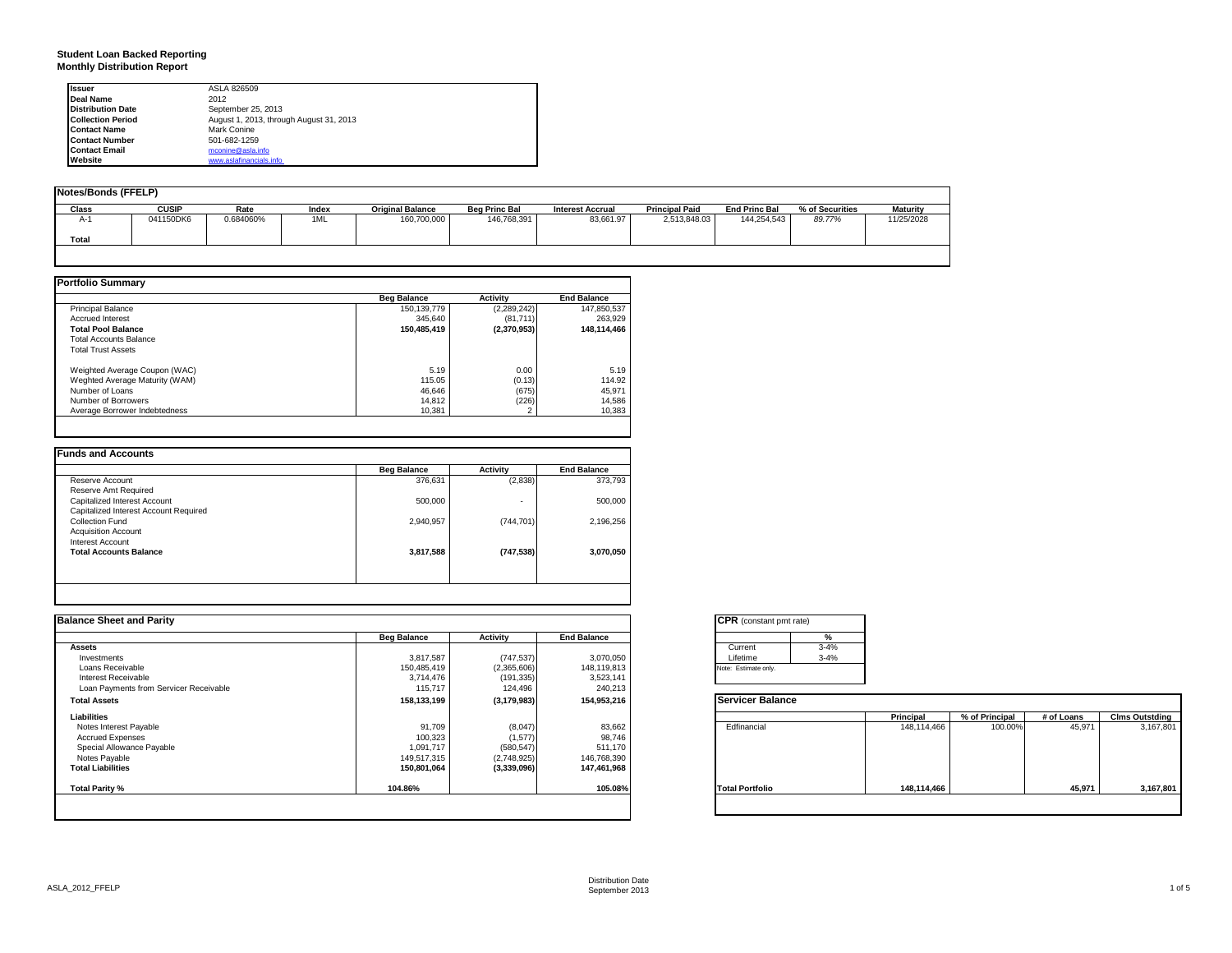# **Student Loan Backed Reporting Monthly Distribution Report**

| <b>Issuer</b>            | ASLA 826509                             |
|--------------------------|-----------------------------------------|
| Deal Name                | 2012                                    |
| <b>Distribution Date</b> | September 25, 2013                      |
| <b>Collection Period</b> | August 1, 2013, through August 31, 2013 |
| <b>Contact Name</b>      | Mark Conine                             |
| <b>Contact Number</b>    | 501-682-1259                            |
| <b>Contact Email</b>     | mconine@asla.info                       |
| Website                  | www.aslafinancials.info                 |

| Notes/Bonds (FFELP) |              |           |       |                         |                      |                         |                       |                      |                 |                 |
|---------------------|--------------|-----------|-------|-------------------------|----------------------|-------------------------|-----------------------|----------------------|-----------------|-----------------|
| Class               | <b>CUSIP</b> | Rate      | Index | <b>Original Balance</b> | <b>Bea Princ Bal</b> | <b>Interest Accrual</b> | <b>Principal Paid</b> | <b>End Princ Bal</b> | % of Securities | <b>Maturity</b> |
| A-1<br>Total        | 041150DK6    | 0.684060% | 1ML   | 160,700,000             | 146,768,391          | 83,661.97               | 2,513,848.03          | 144,254,543          | 89.77%          | 11/25/2028      |
|                     |              |           |       |                         |                      |                         |                       |                      |                 |                 |

|                                | <b>Beg Balance</b> | <b>Activity</b> | <b>End Balance</b> |
|--------------------------------|--------------------|-----------------|--------------------|
| <b>Principal Balance</b>       | 150,139,779        | (2,289,242)     | 147,850,537        |
| <b>Accrued Interest</b>        | 345.640            | (81,711)        | 263.929            |
| <b>Total Pool Balance</b>      | 150,485,419        | (2,370,953)     | 148,114,466        |
| <b>Total Accounts Balance</b>  |                    |                 |                    |
| <b>Total Trust Assets</b>      |                    |                 |                    |
| Weighted Average Coupon (WAC)  | 5.19               | 0.00            | 5.19               |
| Weghted Average Maturity (WAM) | 115.05             | (0.13)          | 114.92             |
| Number of Loans                | 46,646             | (675)           | 45,971             |
| Number of Borrowers            | 14.812             | (226)           | 14,586             |
| Average Borrower Indebtedness  | 10.381             |                 | 10,383             |

| 373.793<br>500,000 | (2,838)<br>٠ | 376,631   | Reserve Account<br>Reserve Amt Required           |
|--------------------|--------------|-----------|---------------------------------------------------|
|                    |              |           |                                                   |
|                    |              |           |                                                   |
|                    |              | 500,000   | Capitalized Interest Account                      |
|                    |              |           | Capitalized Interest Account Required             |
| 2,196,256          | (744, 701)   | 2,940,957 | Collection Fund                                   |
|                    |              |           | <b>Acquisition Account</b>                        |
|                    |              |           |                                                   |
| 3,070,050          | (747, 538)   | 3,817,588 |                                                   |
|                    |              |           |                                                   |
|                    |              |           | Interest Account<br><b>Total Accounts Balance</b> |

|                                        | <b>Beg Balance</b> | Activity      | <b>End Balance</b> | %                       |             |                |            |                       |
|----------------------------------------|--------------------|---------------|--------------------|-------------------------|-------------|----------------|------------|-----------------------|
| <b>Assets</b>                          |                    |               |                    | $3 - 4%$<br>Current     |             |                |            |                       |
| Investments                            | 3,817,587          | (747, 537)    | 3,070,050          | Lifetime<br>$3 - 4%$    |             |                |            |                       |
| Loans Receivable                       | 150,485,419        | (2,365,606)   | 148,119,813        | Note: Estimate only.    |             |                |            |                       |
| Interest Receivable                    | 3,714,476          | (191, 335)    | 3,523,141          |                         |             |                |            |                       |
| Loan Payments from Servicer Receivable | 115,717            | 124,496       | 240,213            |                         |             |                |            |                       |
| <b>Total Assets</b>                    | 158,133,199        | (3, 179, 983) | 154,953,216        | <b>Servicer Balance</b> |             |                |            |                       |
| Liabilities                            |                    |               |                    |                         | Principal   | % of Principal | # of Loans | <b>Clms Outstding</b> |
| Notes Interest Payable                 | 91,709             | (8,047)       | 83,662             | Edfinancial             | 148,114,466 | 100.00%        | 45,971     | 3,167,801             |
| <b>Accrued Expenses</b>                | 100,323            | (1,577)       | 98,746             |                         |             |                |            |                       |
| Special Allowance Payable              | 1,091,717          | (580, 547)    | 511,170            |                         |             |                |            |                       |
| Notes Payable                          | 149,517,315        | (2,748,925)   | 146,768,390        |                         |             |                |            |                       |
| <b>Total Liabilities</b>               | 150,801,064        | (3,339,096)   | 147,461,968        |                         |             |                |            |                       |
| Total Parity %                         | 104.86%            |               | 105.08%            | <b>Total Portfolio</b>  | 148,114,466 |                | 45,971     | 3,167,801             |

| <b>CPR</b> (constant pmt rate) |          |  |  |
|--------------------------------|----------|--|--|
|                                | %        |  |  |
| Current                        | $3 - 4%$ |  |  |
| Lifetime                       | $3 - 4%$ |  |  |
| Note: Estimate only.           |          |  |  |

|                        | Principal   | % of Principal | # of Loans | <b>Clms Outstding</b> |
|------------------------|-------------|----------------|------------|-----------------------|
| Edfinancial            | 148,114,466 | 100.00%        | 45,971     | 3,167,801             |
| <b>Total Portfolio</b> | 148,114,466 |                | 45,971     | 3,167,801             |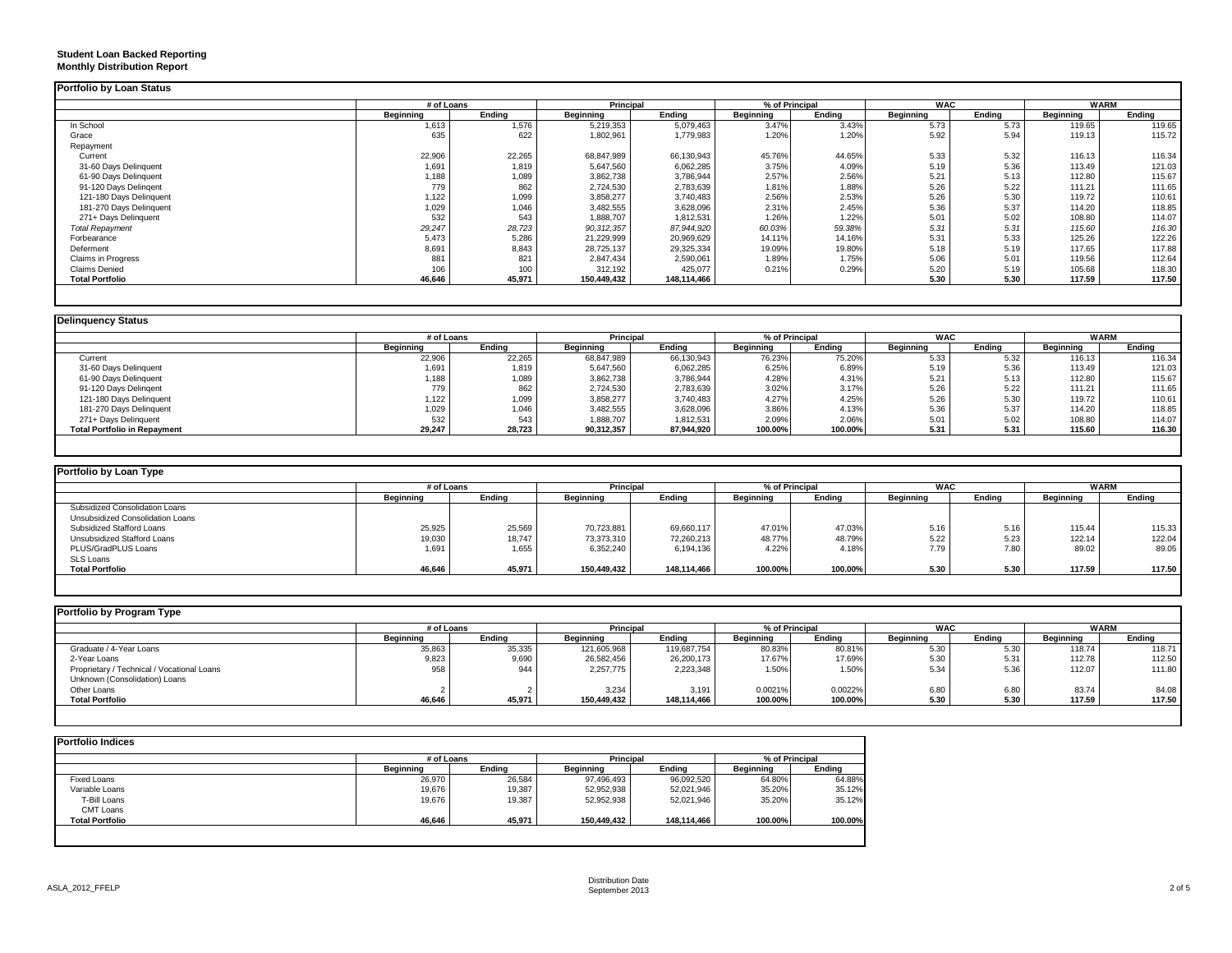## **Student Loan Backed Reporting Monthly Distribution Report**

|                           | # of Loans |        | Principal   |             | % of Principal |        | <b>WAC</b> |        | <b>WARM</b> |        |
|---------------------------|------------|--------|-------------|-------------|----------------|--------|------------|--------|-------------|--------|
|                           | Beginning  | Ending | Beginning   | Ending      | Beginning      | Ending | Beginning  | Ending | Beginning   | Ending |
| In School                 | 1,613      | 1,576  | 5,219,353   | 5,079,463   | 3.47%          | 3.43%  | 5.73       | 5.73   | 119.65      | 119.65 |
| Grace                     | 635        | 622    | 1,802,961   | 1,779,983   | 1.20%          | 1.20%  | 5.92       | 5.94   | 119.13      | 115.72 |
| Repayment                 |            |        |             |             |                |        |            |        |             |        |
| Current                   | 22,906     | 22,265 | 68,847,989  | 66,130,943  | 45.76%         | 44.65% | 5.33       | 5.32   | 116.13      | 116.34 |
| 31-60 Days Delinquent     | 1,691      | 1,819  | 5,647,560   | 6,062,285   | 3.75%          | 4.09%  | 5.19       | 5.36   | 113.49      | 121.03 |
| 61-90 Days Delinquent     | 1,188      | 1,089  | 3,862,738   | 3,786,944   | 2.57%          | 2.56%  | 5.21       | 5.13   | 112.80      | 115.67 |
| 91-120 Days Delingent     | 779        | 862    | 2,724,530   | 2,783,639   | 1.81%          | 1.88%  | 5.26       | 5.22   | 111.21      | 111.65 |
| 121-180 Days Delinquent   | 1,122      | 1,099  | 3,858,277   | 3,740,483   | 2.56%          | 2.53%  | 5.26       | 5.30   | 119.72      | 110.61 |
| 181-270 Days Delinquent   | 1.029      | 1,046  | 3,482,555   | 3,628,096   | 2.31%          | 2.45%  | 5.36       | 5.37   | 114.20      | 118.85 |
| 271+ Days Delinquent      | 532        | 543    | 1,888,707   | 1,812,531   | 1.26%          | 1.22%  | 5.01       | 5.02   | 108.80      | 114.07 |
| <b>Total Repayment</b>    | 29,247     | 28,723 | 90,312,357  | 87.944.920  | 60.03%         | 59.38% | 5.31       | 5.31   | 115.60      | 116.30 |
| Forbearance               | 5,473      | 5,286  | 21,229,999  | 20,969,629  | 14.11%         | 14.16% | 5.31       | 5.33   | 125.26      | 122.26 |
| Deferment                 | 8,691      | 8,843  | 28,725,137  | 29,325,334  | 19.09%         | 19.80% | 5.18       | 5.19   | 117.65      | 117.88 |
| <b>Claims in Progress</b> | 881        | 821    | 2,847,434   | 2,590,061   | 1.89%          | 1.75%  | 5.06       | 5.01   | 119.56      | 112.64 |
| <b>Claims Denied</b>      | 106        | 100    | 312,192     | 425,077     | 0.21%          | 0.29%  | 5.20       | 5.19   | 105.68      | 118.30 |
| <b>Total Portfolio</b>    | 46,646     | 45,971 | 150,449,432 | 148,114,466 |                |        | 5.30       | 5.30   | 117.59      | 117.50 |

|                                     | # of Loans |        | <b>Principal</b> |            | % of Principal   |         | <b>WAC</b> |        | <b>WARM</b>      |        |
|-------------------------------------|------------|--------|------------------|------------|------------------|---------|------------|--------|------------------|--------|
|                                     | Beainnina  | Endina | Beainnina        | Endina     | <b>Beginning</b> | Endina  | Beginning  | Endina | <b>Beginning</b> | Endina |
| Current                             | 22,906     | 22,265 | 68,847,989       | 66,130,943 | 76.23%           | 75.20%  | 5.33       | 5.32   | 116.13           | 116.34 |
| 31-60 Days Delinquent               | 1,691      | 1,819  | 5,647,560        | 6,062,285  | 6.25%            | 6.89%   | 5.19       | 5.36   | 113.49           | 121.03 |
| 61-90 Days Delinquent               | 1,188      | 1,089  | 3,862,738        | 3,786,944  | 4.28%            | 4.31%   | 5.21       | 5.13   | 112.80           | 115.67 |
| 91-120 Days Delingent               | 779        | 862    | 2,724,530        | 2,783,639  | 3.02%            | 3.17%   | 5.26       | 5.22   | 111.21           | 111.65 |
| 121-180 Days Delinquent             | 1,122      | 1,099  | 3,858,277        | 3,740,483  | 4.27%            | 4.25%   | 5.26       | 5.30   | 119.72           | 110.61 |
| 181-270 Days Delinquent             | 1,029      | 1,046  | 3,482,555        | 3,628,096  | 3.86%            | 4.13%   | 5.36       | 5.37   | 114.20           | 118.85 |
| 271+ Days Delinquent                | 532        | 543    | 1,888,707        | 1,812,531  | 2.09%            | 2.06%   | 5.01       | 5.02   | 108.80           | 114.07 |
| <b>Total Portfolio in Repayment</b> | 29,247     | 28,723 | 90,312,357       | 87,944,920 | 100.00%          | 100.00% | 5.31       | 5.31   | 115.60           | 116.30 |

| <b>Portfolio by Loan Type</b>    |            |        |                  |             |                  |                |                  |        |                  |             |
|----------------------------------|------------|--------|------------------|-------------|------------------|----------------|------------------|--------|------------------|-------------|
|                                  | # of Loans |        | <b>Principal</b> |             |                  | % of Principal | <b>WAC</b>       |        |                  | <b>WARM</b> |
|                                  | Beginning  | Endina | Beginning        | Endina      | <b>Beainning</b> | Endina         | <b>Beainning</b> | Endina | <b>Beginning</b> | Ending      |
| Subsidized Consolidation Loans   |            |        |                  |             |                  |                |                  |        |                  |             |
| Unsubsidized Consolidation Loans |            |        |                  |             |                  |                |                  |        |                  |             |
| Subsidized Stafford Loans        | 25,925     | 25.569 | 70,723,881       | 69.660.117  | 47.01%           | 47.03%         | 5.16             | 5.16   | 115.44           | 115.33      |
| Unsubsidized Stafford Loans      | 19,030     | 18,747 | 73,373,310       | 72,260,213  | 48.77%           | 48.79%         | 5.22             | 5.23   | 122.14           | 122.04      |
| PLUS/GradPLUS Loans              | 1,691      | 1,655  | 6,352,240        | 6,194,136   | 4.22%            | 4.18%          | 7.79             | 7.80   | 89.02            | 89.05       |
| SLS Loans                        |            |        |                  |             |                  |                |                  |        |                  |             |
| <b>Total Portfolio</b>           | 46,646     | 45,971 | 150.449.432      | 148,114,466 | 100.00%          | 100.00%        | 5.30             | 5.30   | 117.59           | 117.50      |

|           |        |                  |             |                  |         |                                     |        | <b>WARM</b>      |        |
|-----------|--------|------------------|-------------|------------------|---------|-------------------------------------|--------|------------------|--------|
| Beainnina | Endina | <b>Beainning</b> | Endina      | <b>Beainning</b> | Endina  | Beainnina                           | Endina | <b>Beainning</b> | Endina |
| 35,863    | 35,335 | 121,605,968      | 119,687,754 | 80.83%           | 80.81%  | 5.30                                | 5.30   | 118.74           | 118.71 |
| 9,823     | 9,690  | 26,582,456       | 26,200,173  |                  | 17.69%  | 5.30                                | 5.31   | 112.78           | 112.50 |
| 958       | 944    | 2,257,775        | 2,223,348   | 1.50%            | 1.50%   | 5.34                                | 5.36   | 112.07           | 111.80 |
|           |        |                  |             |                  |         |                                     |        |                  |        |
|           |        | 3.234            | 3,191       | 0.0021%          | 0.0022% | 6.80                                | 6.8C   | 83.74            | 84.08  |
| 46.646    | 45.971 | 150.449.432      | 148.114.466 |                  | 100.00% | 5.30                                | 5.30   | 117.59           | 117.50 |
|           |        | # of Loans       |             | <b>Principal</b> |         | % of Principal<br>17.67%<br>100.00% |        | <b>WAC</b>       |        |

|                        | # of Loans       |        | <b>Principal</b> |             | % of Principal |         |
|------------------------|------------------|--------|------------------|-------------|----------------|---------|
|                        | <b>Beainning</b> | Endina | <b>Beginning</b> | Endina      | Beginning      | Endina  |
| Fixed Loans            | 26,970           | 26,584 | 97,496,493       | 96,092,520  | 64.80%         | 64.88%  |
| Variable Loans         | 19,676           | 19,387 | 52,952,938       | 52,021,946  | 35.20%         | 35.12%  |
| T-Bill Loans           | 19.676           | 19.387 | 52,952,938       | 52,021,946  | 35.20%         | 35.12%  |
| CMT Loans              |                  |        |                  |             |                |         |
| <b>Total Portfolio</b> | 46,646           | 45,971 | 150,449,432      | 148,114,466 | 100.00%        | 100.00% |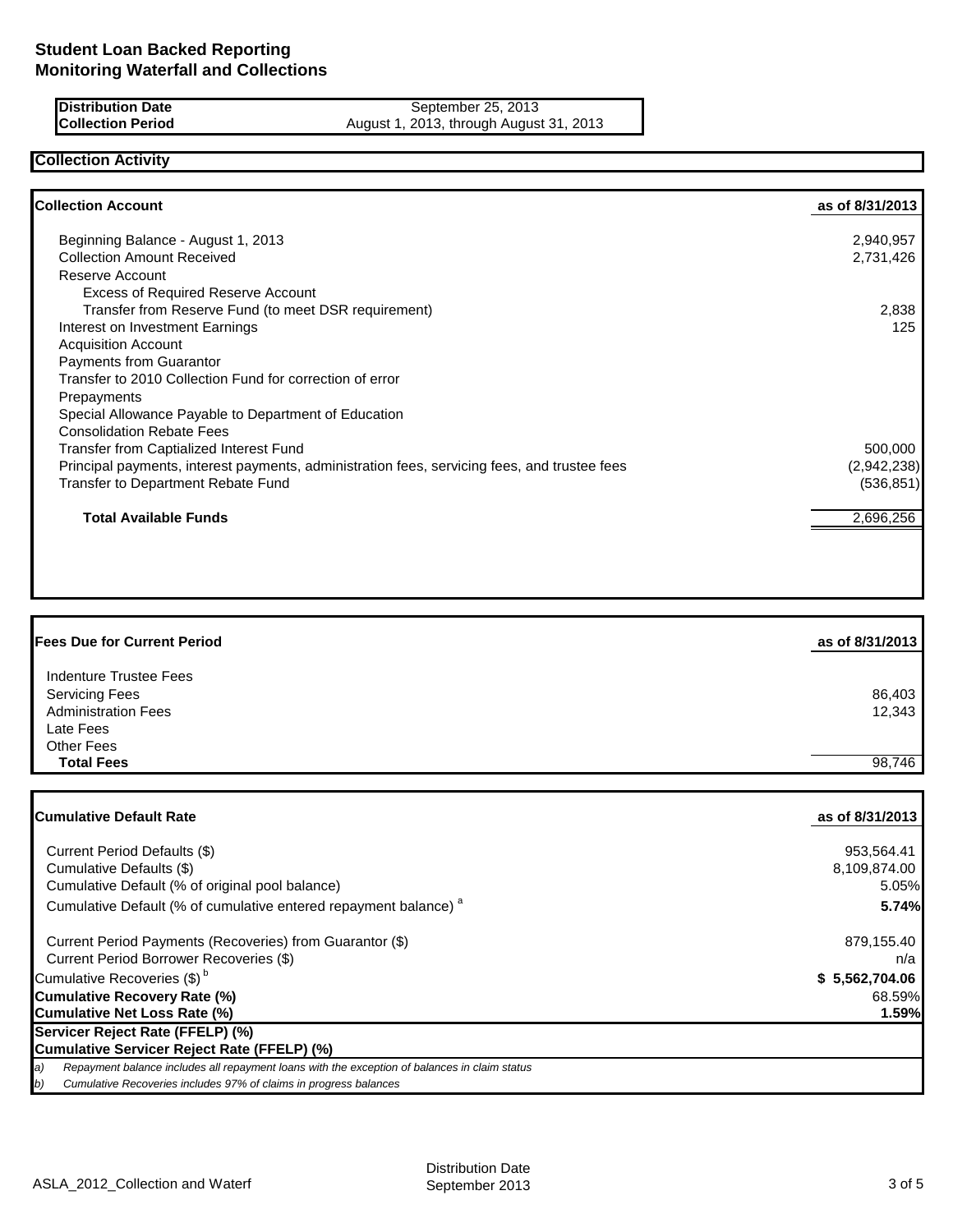**Distribution Date** September 25, 2013 **Collection Period** August 1, 2013, through August 31, 2013

### **Collection Activity**

| <b>Collection Account</b>                                                                    | as of 8/31/2013 |
|----------------------------------------------------------------------------------------------|-----------------|
| Beginning Balance - August 1, 2013                                                           | 2,940,957       |
| <b>Collection Amount Received</b>                                                            | 2,731,426       |
| Reserve Account                                                                              |                 |
| <b>Excess of Required Reserve Account</b>                                                    |                 |
| Transfer from Reserve Fund (to meet DSR requirement)                                         | 2,838           |
| Interest on Investment Earnings                                                              | 125             |
| <b>Acquisition Account</b>                                                                   |                 |
| Payments from Guarantor                                                                      |                 |
| Transfer to 2010 Collection Fund for correction of error                                     |                 |
| Prepayments                                                                                  |                 |
| Special Allowance Payable to Department of Education                                         |                 |
| <b>Consolidation Rebate Fees</b>                                                             |                 |
| Transfer from Captialized Interest Fund                                                      | 500,000         |
| Principal payments, interest payments, administration fees, servicing fees, and trustee fees | (2,942,238)     |
| Transfer to Department Rebate Fund                                                           | (536, 851)      |
| <b>Total Available Funds</b>                                                                 | 2,696,256       |

| <b>Fees Due for Current Period</b> | as of 8/31/2013 |
|------------------------------------|-----------------|
| Indenture Trustee Fees             |                 |
| <b>Servicing Fees</b>              | 86,403          |
| <b>Administration Fees</b>         | 12,343          |
| Late Fees                          |                 |
| <b>Other Fees</b>                  |                 |
| <b>Total Fees</b>                  | 98,746          |
|                                    |                 |

| <b>Cumulative Default Rate</b>                                                                      | as of 8/31/2013 |
|-----------------------------------------------------------------------------------------------------|-----------------|
| Current Period Defaults (\$)                                                                        | 953,564.41      |
| Cumulative Defaults (\$)                                                                            | 8,109,874.00    |
| Cumulative Default (% of original pool balance)                                                     | 5.05%           |
| Cumulative Default (% of cumulative entered repayment balance) <sup>a</sup>                         | 5.74%           |
| Current Period Payments (Recoveries) from Guarantor (\$)                                            | 879,155.40      |
| Current Period Borrower Recoveries (\$)                                                             | n/a             |
| Cumulative Recoveries (\$) <sup>b</sup>                                                             | \$5,562,704.06  |
| <b>Cumulative Recovery Rate (%)</b>                                                                 | 68.59%          |
| <b>Cumulative Net Loss Rate (%)</b>                                                                 | 1.59%           |
| Servicer Reject Rate (FFELP) (%)                                                                    |                 |
| Cumulative Servicer Reject Rate (FFELP) (%)                                                         |                 |
| Repayment balance includes all repayment loans with the exception of balances in claim status<br>a) |                 |
| Cumulative Recoveries includes 97% of claims in progress balances<br>b)                             |                 |
|                                                                                                     |                 |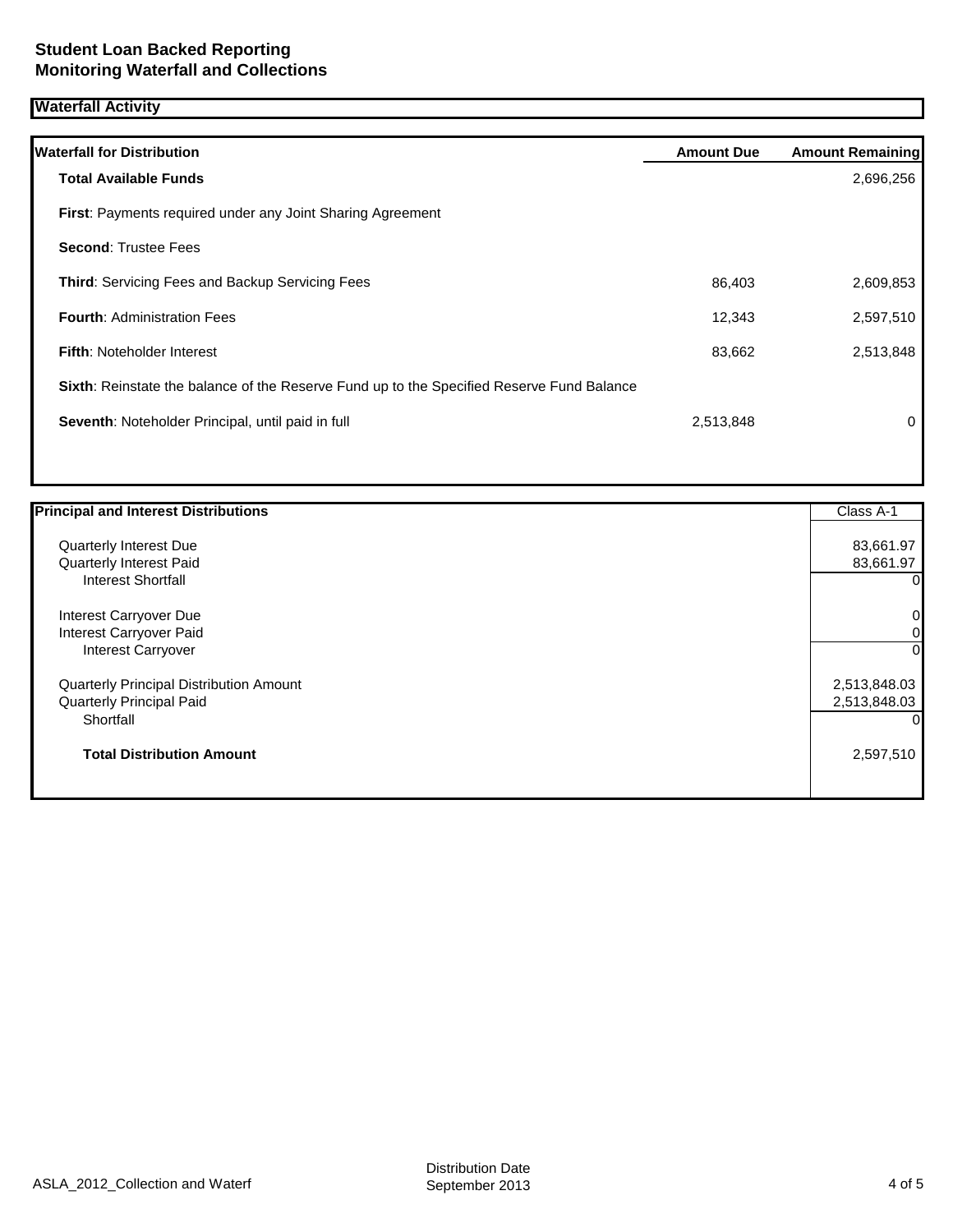### **Waterfall Activity**

| <b>Waterfall for Distribution</b>                                                         | <b>Amount Due</b> | <b>Amount Remaining</b> |
|-------------------------------------------------------------------------------------------|-------------------|-------------------------|
| <b>Total Available Funds</b>                                                              |                   | 2,696,256               |
| <b>First:</b> Payments required under any Joint Sharing Agreement                         |                   |                         |
| <b>Second: Trustee Fees</b>                                                               |                   |                         |
| <b>Third: Servicing Fees and Backup Servicing Fees</b>                                    | 86,403            | 2,609,853               |
| <b>Fourth: Administration Fees</b>                                                        | 12,343            | 2,597,510               |
| <b>Fifth: Noteholder Interest</b>                                                         | 83,662            | 2,513,848               |
| Sixth: Reinstate the balance of the Reserve Fund up to the Specified Reserve Fund Balance |                   |                         |
| Seventh: Noteholder Principal, until paid in full                                         | 2,513,848         | 0                       |
|                                                                                           |                   |                         |

| <b>Principal and Interest Distributions</b> | Class A-1      |
|---------------------------------------------|----------------|
| Quarterly Interest Due                      | 83,661.97      |
| Quarterly Interest Paid                     | 83,661.97      |
| <b>Interest Shortfall</b>                   | $\Omega$       |
| Interest Carryover Due                      | $\overline{0}$ |
| Interest Carryover Paid                     | 01             |
| <b>Interest Carryover</b>                   | $\overline{0}$ |
| Quarterly Principal Distribution Amount     | 2,513,848.03   |
| Quarterly Principal Paid                    | 2,513,848.03   |
| Shortfall                                   | O.             |
| <b>Total Distribution Amount</b>            | 2,597,510      |
|                                             |                |